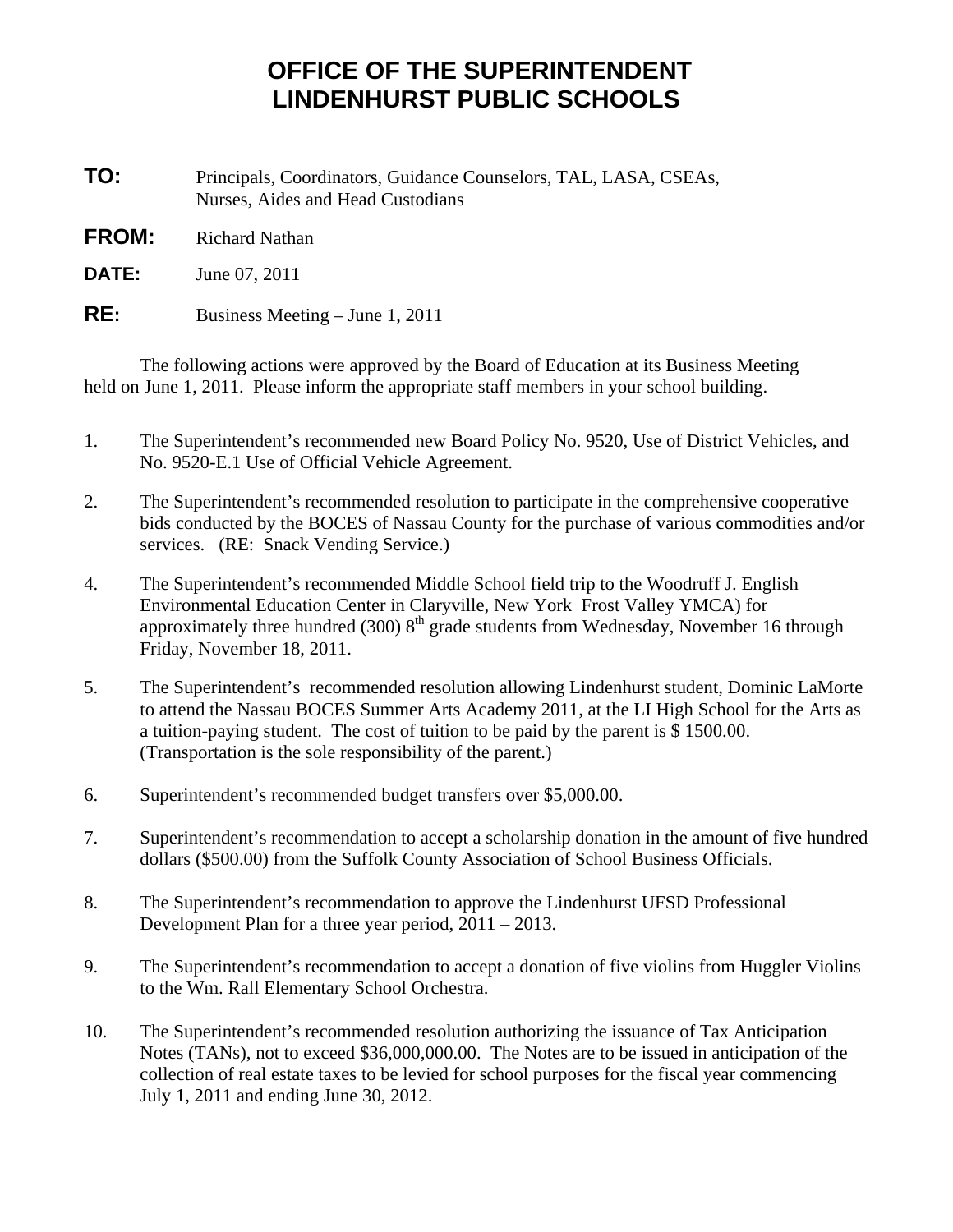## **OFFICE OF THE SUPERINTENDENT LINDENHURST PUBLIC SCHOOLS**

**TO:** Principals, Coordinators, Guidance Counselors, TAL, LASA, CSEAs, Nurses, Aides and Head Custodians

**FROM:** Richard Nathan

**DATE:** June 07, 2011

**RE:** Business Meeting – June 1, 2011

 The following actions were approved by the Board of Education at its Business Meeting held on June 1, 2011. Please inform the appropriate staff members in your school building.

- 1. The Superintendent's recommended new Board Policy No. 9520, Use of District Vehicles, and No. 9520-E.1 Use of Official Vehicle Agreement.
- 2. The Superintendent's recommended resolution to participate in the comprehensive cooperative bids conducted by the BOCES of Nassau County for the purchase of various commodities and/or services. (RE: Snack Vending Service.)
- 4. The Superintendent's recommended Middle School field trip to the Woodruff J. English Environmental Education Center in Claryville, New York Frost Valley YMCA) for approximately three hundred (300)  $8<sup>th</sup>$  grade students from Wednesday, November 16 through Friday, November 18, 2011.
- 5. The Superintendent's recommended resolution allowing Lindenhurst student, Dominic LaMorte to attend the Nassau BOCES Summer Arts Academy 2011, at the LI High School for the Arts as a tuition-paying student. The cost of tuition to be paid by the parent is \$ 1500.00. (Transportation is the sole responsibility of the parent.)
- 6. Superintendent's recommended budget transfers over \$5,000.00.
- 7. Superintendent's recommendation to accept a scholarship donation in the amount of five hundred dollars (\$500.00) from the Suffolk County Association of School Business Officials.
- 8. The Superintendent's recommendation to approve the Lindenhurst UFSD Professional Development Plan for a three year period, 2011 – 2013.
- 9. The Superintendent's recommendation to accept a donation of five violins from Huggler Violins to the Wm. Rall Elementary School Orchestra.
- 10. The Superintendent's recommended resolution authorizing the issuance of Tax Anticipation Notes (TANs), not to exceed \$36,000,000.00. The Notes are to be issued in anticipation of the collection of real estate taxes to be levied for school purposes for the fiscal year commencing July 1, 2011 and ending June 30, 2012.